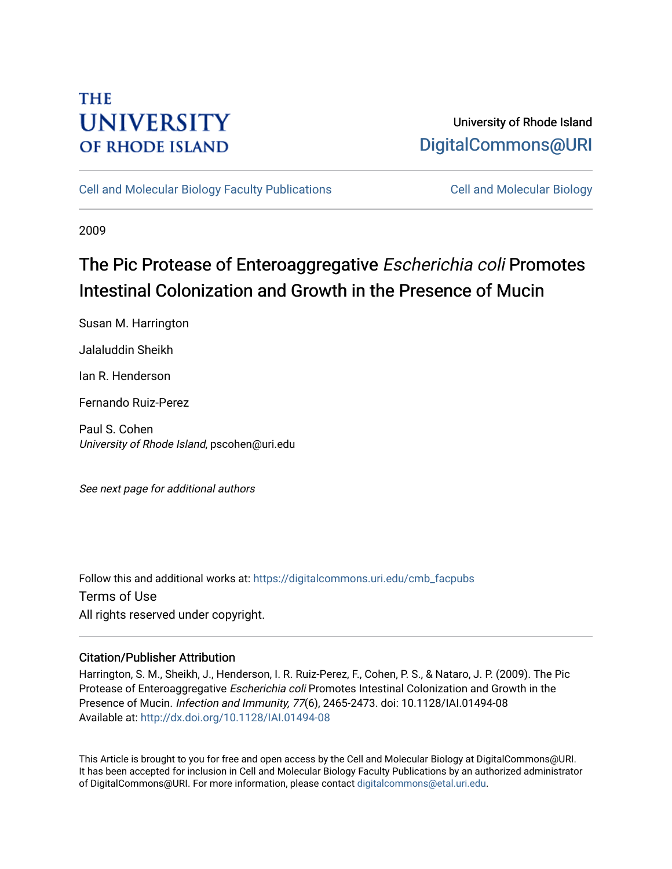# **THE UNIVERSITY OF RHODE ISLAND**

## University of Rhode Island [DigitalCommons@URI](https://digitalcommons.uri.edu/)

[Cell and Molecular Biology Faculty Publications](https://digitalcommons.uri.edu/cmb_facpubs) [Cell and Molecular Biology](https://digitalcommons.uri.edu/cmb) 

2009

# The Pic Protease of Enteroaggregative Escherichia coli Promotes Intestinal Colonization and Growth in the Presence of Mucin

Susan M. Harrington

Jalaluddin Sheikh

Ian R. Henderson

Fernando Ruiz-Perez

Paul S. Cohen University of Rhode Island, pscohen@uri.edu

See next page for additional authors

Follow this and additional works at: [https://digitalcommons.uri.edu/cmb\\_facpubs](https://digitalcommons.uri.edu/cmb_facpubs?utm_source=digitalcommons.uri.edu%2Fcmb_facpubs%2F59&utm_medium=PDF&utm_campaign=PDFCoverPages)  Terms of Use All rights reserved under copyright.

### Citation/Publisher Attribution

Harrington, S. M., Sheikh, J., Henderson, I. R. Ruiz-Perez, F., Cohen, P. S., & Nataro, J. P. (2009). The Pic Protease of Enteroaggregative Escherichia coli Promotes Intestinal Colonization and Growth in the Presence of Mucin. Infection and Immunity, 77(6), 2465-2473. doi: 10.1128/IAI.01494-08 Available at:<http://dx.doi.org/10.1128/IAI.01494-08>

This Article is brought to you for free and open access by the Cell and Molecular Biology at DigitalCommons@URI. It has been accepted for inclusion in Cell and Molecular Biology Faculty Publications by an authorized administrator of DigitalCommons@URI. For more information, please contact [digitalcommons@etal.uri.edu](mailto:digitalcommons@etal.uri.edu).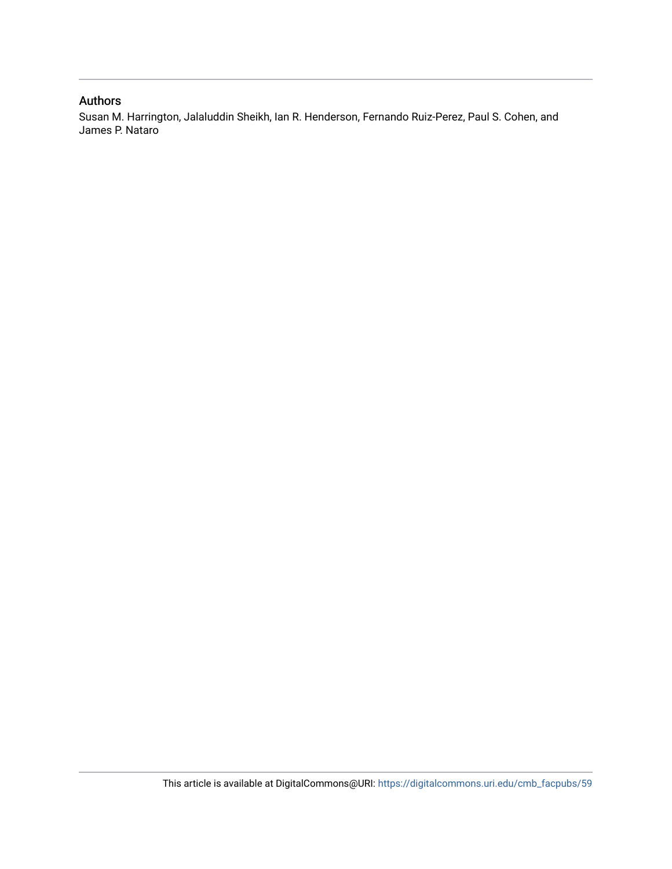### Authors

Susan M. Harrington, Jalaluddin Sheikh, Ian R. Henderson, Fernando Ruiz-Perez, Paul S. Cohen, and James P. Nataro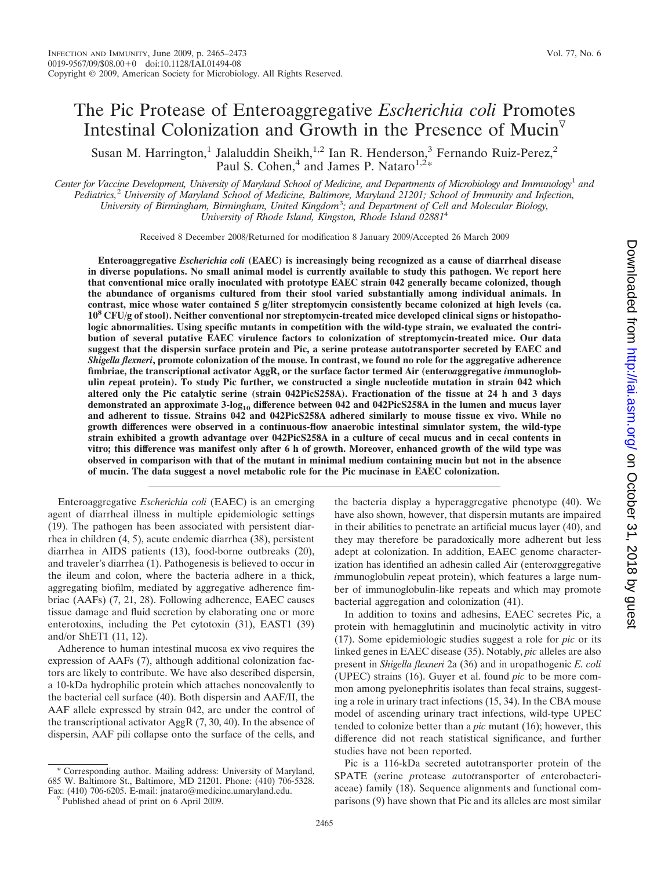## The Pic Protease of Enteroaggregative *Escherichia coli* Promotes Intestinal Colonization and Growth in the Presence of Mucin $\overline{v}$

Susan M. Harrington,<sup>1</sup> Jalaluddin Sheikh,<sup>1,2</sup> Ian R. Henderson,<sup>3</sup> Fernando Ruiz-Perez,<sup>2</sup> Paul S. Cohen,<sup>4</sup> and James P. Nataro<sup>1,2\*</sup>

*Center for Vaccine Development, University of Maryland School of Medicine, and Departments of Microbiology and Immunology*<sup>1</sup> *and Pediatrics,*<sup>2</sup> *University of Maryland School of Medicine, Baltimore, Maryland 21201; School of Immunity and Infection, University of Birmingham, Birmingham, United Kingdom*<sup>3</sup> *; and Department of Cell and Molecular Biology, University of Rhode Island, Kingston, Rhode Island 02881*<sup>4</sup>

Received 8 December 2008/Returned for modification 8 January 2009/Accepted 26 March 2009

**Enteroaggregative** *Escherichia coli* **(EAEC) is increasingly being recognized as a cause of diarrheal disease in diverse populations. No small animal model is currently available to study this pathogen. We report here that conventional mice orally inoculated with prototype EAEC strain 042 generally became colonized, though the abundance of organisms cultured from their stool varied substantially among individual animals. In contrast, mice whose water contained 5 g/liter streptomycin consistently became colonized at high levels (ca. 108 CFU/g of stool). Neither conventional nor streptomycin-treated mice developed clinical signs or histopathologic abnormalities. Using specific mutants in competition with the wild-type strain, we evaluated the contribution of several putative EAEC virulence factors to colonization of streptomycin-treated mice. Our data suggest that the dispersin surface protein and Pic, a serine protease autotransporter secreted by EAEC and** *Shigella flexneri***, promote colonization of the mouse. In contrast, we found no role for the aggregative adherence fimbriae, the transcriptional activator AggR, or the surface factor termed Air (entero***a***ggregative** *i***mmunoglobulin** *r***epeat protein). To study Pic further, we constructed a single nucleotide mutation in strain 042 which altered only the Pic catalytic serine (strain 042PicS258A). Fractionation of the tissue at 24 h and 3 days demonstrated an approximate 3-log10 difference between 042 and 042PicS258A in the lumen and mucus layer and adherent to tissue. Strains 042 and 042PicS258A adhered similarly to mouse tissue ex vivo. While no growth differences were observed in a continuous-flow anaerobic intestinal simulator system, the wild-type strain exhibited a growth advantage over 042PicS258A in a culture of cecal mucus and in cecal contents in vitro; this difference was manifest only after 6 h of growth. Moreover, enhanced growth of the wild type was observed in comparison with that of the mutant in minimal medium containing mucin but not in the absence of mucin. The data suggest a novel metabolic role for the Pic mucinase in EAEC colonization.**

Enteroaggregative *Escherichia coli* (EAEC) is an emerging agent of diarrheal illness in multiple epidemiologic settings (19). The pathogen has been associated with persistent diarrhea in children (4, 5), acute endemic diarrhea (38), persistent diarrhea in AIDS patients (13), food-borne outbreaks (20), and traveler's diarrhea (1). Pathogenesis is believed to occur in the ileum and colon, where the bacteria adhere in a thick, aggregating biofilm, mediated by aggregative adherence fimbriae (AAFs) (7, 21, 28). Following adherence, EAEC causes tissue damage and fluid secretion by elaborating one or more enterotoxins, including the Pet cytotoxin (31), EAST1 (39) and/or ShET1 (11, 12).

Adherence to human intestinal mucosa ex vivo requires the expression of AAFs (7), although additional colonization factors are likely to contribute. We have also described dispersin, a 10-kDa hydrophilic protein which attaches noncovalently to the bacterial cell surface (40). Both dispersin and AAF/II, the AAF allele expressed by strain 042, are under the control of the transcriptional activator AggR (7, 30, 40). In the absence of dispersin, AAF pili collapse onto the surface of the cells, and

Corresponding author. Mailing address: University of Maryland, 685 W. Baltimore St., Baltimore, MD 21201. Phone: (410) 706-5328. Fax: (410) 706-6205. E-mail: jnataro@medicine.umaryland.edu. <sup>v</sup>Published ahead of print on 6 April 2009.

the bacteria display a hyperaggregative phenotype (40). We have also shown, however, that dispersin mutants are impaired in their abilities to penetrate an artificial mucus layer (40), and they may therefore be paradoxically more adherent but less adept at colonization. In addition, EAEC genome characterization has identified an adhesin called Air (entero*a*ggregative *i*mmunoglobulin *r*epeat protein), which features a large number of immunoglobulin-like repeats and which may promote bacterial aggregation and colonization (41).

In addition to toxins and adhesins, EAEC secretes Pic, a protein with hemagglutinin and mucinolytic activity in vitro (17). Some epidemiologic studies suggest a role for *pic* or its linked genes in EAEC disease (35). Notably, *pic* alleles are also present in *Shigella flexneri* 2a (36) and in uropathogenic *E. coli* (UPEC) strains (16). Guyer et al. found *pic* to be more common among pyelonephritis isolates than fecal strains, suggesting a role in urinary tract infections (15, 34). In the CBA mouse model of ascending urinary tract infections, wild-type UPEC tended to colonize better than a *pic* mutant (16); however, this difference did not reach statistical significance, and further studies have not been reported.

Pic is a 116-kDa secreted autotransporter protein of the SPATE (*s*erine *p*rotease *a*uto*t*ransporter of *e*nterobacteriaceae) family (18). Sequence alignments and functional comparisons (9) have shown that Pic and its alleles are most similar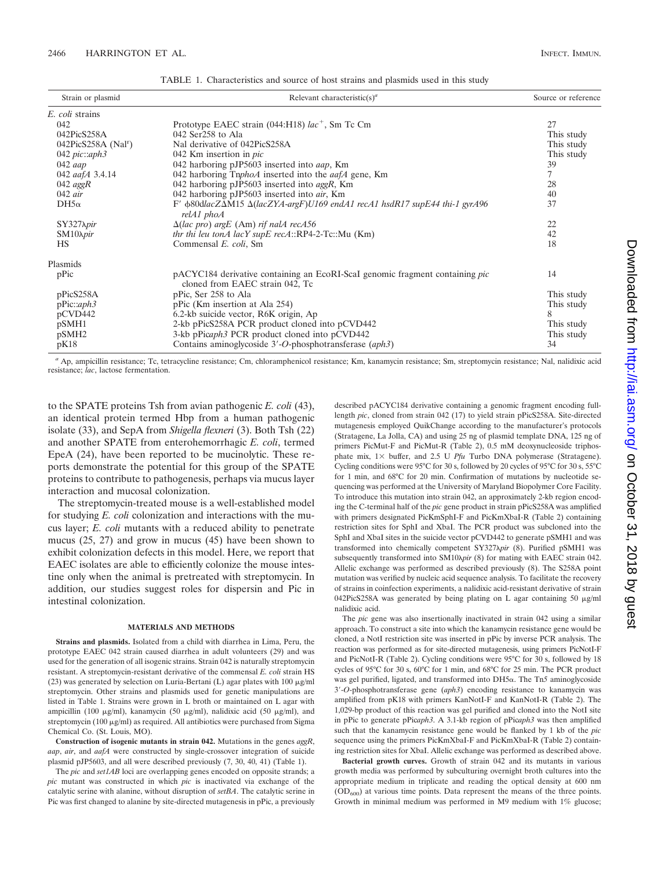| TABLE 1. Characteristics and source of host strains and plasmids used in this study |  |  |  |  |  |  |
|-------------------------------------------------------------------------------------|--|--|--|--|--|--|
|                                                                                     |  |  |  |  |  |  |

| Strain or plasmid                 | Relevant characteristic(s) <sup>a</sup>                                                                                |            |
|-----------------------------------|------------------------------------------------------------------------------------------------------------------------|------------|
| E. coli strains                   |                                                                                                                        |            |
| 042                               | Prototype EAEC strain $(044: H18)$ lac <sup>+</sup> , Sm Tc Cm                                                         | 27         |
| 042PicS258A                       | $042$ Ser258 to Ala                                                                                                    | This study |
| $042PicS258A$ (Nal <sup>r</sup> ) | Nal derivative of 042PicS258A                                                                                          | This study |
| 042 $pic::aph3$                   | 042 Km insertion in $pic$                                                                                              | This study |
| $042$ aap                         | 042 harboring pJP5603 inserted into <i>aap</i> , Km                                                                    | 39         |
| 042 aafA 3.4.14                   | 042 harboring $TnphoA$ inserted into the <i>aafA</i> gene, Km                                                          | 7          |
| $042$ aggR                        | 042 harboring pJP5603 inserted into $aggR$ , Km                                                                        | 28         |
| $042$ air                         | 042 harboring pJP5603 inserted into air, Km                                                                            | 40         |
| $DH5\alpha$                       | $F'$ $\phi$ 80dlacZ $\Delta$ M15 $\Delta$ (lacZYA-argF)U169 endA1 recA1 hsdR17 supE44 thi-1 gyrA96<br>relA1 phoA       | 37         |
| SY327 <i>Npir</i>                 | $\Delta (lac \, pro) \, argE \, (Am) \, rif \, nalA \, recA56$                                                         | 22         |
| $SM10\lambda\pi r$                | thr thi leu tonA lacY supE recA::RP4-2-Tc::Mu $(Km)$                                                                   | 42         |
| HS                                | Commensal E. coli, Sm                                                                                                  | 18         |
| Plasmids                          |                                                                                                                        |            |
| pPic                              | pACYC184 derivative containing an EcoRI-Scal genomic fragment containing <i>pic</i><br>cloned from EAEC strain 042, Tc | 14         |
| pPicS258A                         | pPic, Ser 258 to Ala                                                                                                   | This study |
| pPic::aph3                        | pPic (Km insertion at Ala 254)                                                                                         | This study |
| pCVD442                           | 6.2-kb suicide vector, R6K origin, Ap                                                                                  | 8          |
| pSMH1                             | 2-kb pPicS258A PCR product cloned into pCVD442                                                                         | This study |
| pSMH <sub>2</sub>                 | 3-kb pPicaph3 PCR product cloned into pCVD442                                                                          | This study |
| pK18                              | Contains aminoglycoside 3'-O-phosphotransferase (aph3)                                                                 | 34         |

*<sup>a</sup>* Ap, ampicillin resistance; Tc, tetracycline resistance; Cm, chloramphenicol resistance; Km, kanamycin resistance; Sm, streptomycin resistance; Nal, nalidixic acid resistance; *lac*, lactose fermentation.

to the SPATE proteins Tsh from avian pathogenic *E. coli* (43), an identical protein termed Hbp from a human pathogenic isolate (33), and SepA from *Shigella flexneri* (3). Both Tsh (22) and another SPATE from enterohemorrhagic *E. coli*, termed EpeA (24), have been reported to be mucinolytic. These reports demonstrate the potential for this group of the SPATE proteins to contribute to pathogenesis, perhaps via mucus layer interaction and mucosal colonization.

The streptomycin-treated mouse is a well-established model for studying *E. coli* colonization and interactions with the mucus layer; *E. coli* mutants with a reduced ability to penetrate mucus (25, 27) and grow in mucus (45) have been shown to exhibit colonization defects in this model. Here, we report that EAEC isolates are able to efficiently colonize the mouse intestine only when the animal is pretreated with streptomycin. In addition, our studies suggest roles for dispersin and Pic in intestinal colonization.

#### **MATERIALS AND METHODS**

**Strains and plasmids.** Isolated from a child with diarrhea in Lima, Peru, the prototype EAEC 042 strain caused diarrhea in adult volunteers (29) and was used for the generation of all isogenic strains. Strain 042 is naturally streptomycin resistant. A streptomycin-resistant derivative of the commensal *E. coli* strain HS (23) was generated by selection on Luria-Bertani (L) agar plates with  $100 \mu g/ml$ streptomycin. Other strains and plasmids used for genetic manipulations are listed in Table 1. Strains were grown in L broth or maintained on L agar with ampicillin (100  $\mu$ g/ml), kanamycin (50  $\mu$ g/ml), nalidixic acid (50  $\mu$ g/ml), and streptomycin (100  $\mu$ g/ml) as required. All antibiotics were purchased from Sigma Chemical Co. (St. Louis, MO).

**Construction of isogenic mutants in strain 042.** Mutations in the genes *aggR*, *aap*, *air*, and *aafA* were constructed by single-crossover integration of suicide plasmid pJP5603, and all were described previously (7, 30, 40, 41) (Table 1).

The *pic* and *set1AB* loci are overlapping genes encoded on opposite strands; a *pic* mutant was constructed in which *pic* is inactivated via exchange of the catalytic serine with alanine, without disruption of *setBA*. The catalytic serine in Pic was first changed to alanine by site-directed mutagenesis in pPic, a previously

described pACYC184 derivative containing a genomic fragment encoding fulllength *pic*, cloned from strain 042 (17) to yield strain pPicS258A. Site-directed mutagenesis employed QuikChange according to the manufacturer's protocols (Stratagene, La Jolla, CA) and using 25 ng of plasmid template DNA, 125 ng of primers PicMut-F and PicMut-R (Table 2), 0.5 mM deoxynucleoside triphosphate mix,  $1 \times$  buffer, and 2.5 U *Pfu* Turbo DNA polymerase (Stratagene). Cycling conditions were 95°C for 30 s, followed by 20 cycles of 95°C for 30 s, 55°C for 1 min, and 68°C for 20 min. Confirmation of mutations by nucleotide sequencing was performed at the University of Maryland Biopolymer Core Facility. To introduce this mutation into strain 042, an approximately 2-kb region encoding the C-terminal half of the *pic* gene product in strain pPicS258A was amplified with primers designated PicKmSphI-F and PicKmXbaI-R (Table 2) containing restriction sites for SphI and XbaI. The PCR product was subcloned into the SphI and XbaI sites in the suicide vector pCVD442 to generate pSMH1 and was transformed into chemically competent SY327*pir* (8). Purified pSMH1 was subsequently transformed into SM10*pir* (8) for mating with EAEC strain 042. Allelic exchange was performed as described previously (8). The S258A point mutation was verified by nucleic acid sequence analysis. To facilitate the recovery of strains in coinfection experiments, a nalidixic acid-resistant derivative of strain 042PicS258A was generated by being plating on L agar containing 50  $\mu$ g/ml nalidixic acid.

The *pic* gene was also insertionally inactivated in strain 042 using a similar approach. To construct a site into which the kanamycin resistance gene would be cloned, a NotI restriction site was inserted in pPic by inverse PCR analysis. The reaction was performed as for site-directed mutagenesis, using primers PicNotI-F and PicNotI-R (Table 2). Cycling conditions were 95°C for 30 s, followed by 18 cycles of 95°C for 30 s, 60°C for 1 min, and 68°C for 25 min. The PCR product was gel purified, ligated, and transformed into DH5 $α$ . The Tn5 aminoglycoside 3-*O*-phosphotransferase gene (*aph3*) encoding resistance to kanamycin was amplified from pK18 with primers KanNotI-F and KanNotI-R (Table 2). The 1,029-bp product of this reaction was gel purified and cloned into the NotI site in pPic to generate pPic*aph3*. A 3.1-kb region of pPic*aph3* was then amplified such that the kanamycin resistance gene would be flanked by 1 kb of the *pic* sequence using the primers PicKmXbaI-F and PicKmXbaI-R (Table 2) containing restriction sites for XbaI. Allelic exchange was performed as described above.

**Bacterial growth curves.** Growth of strain 042 and its mutants in various growth media was performed by subculturing overnight broth cultures into the appropriate medium in triplicate and reading the optical density at 600 nm  $(OD<sub>600</sub>)$  at various time points. Data represent the means of the three points. Growth in minimal medium was performed in M9 medium with 1% glucose;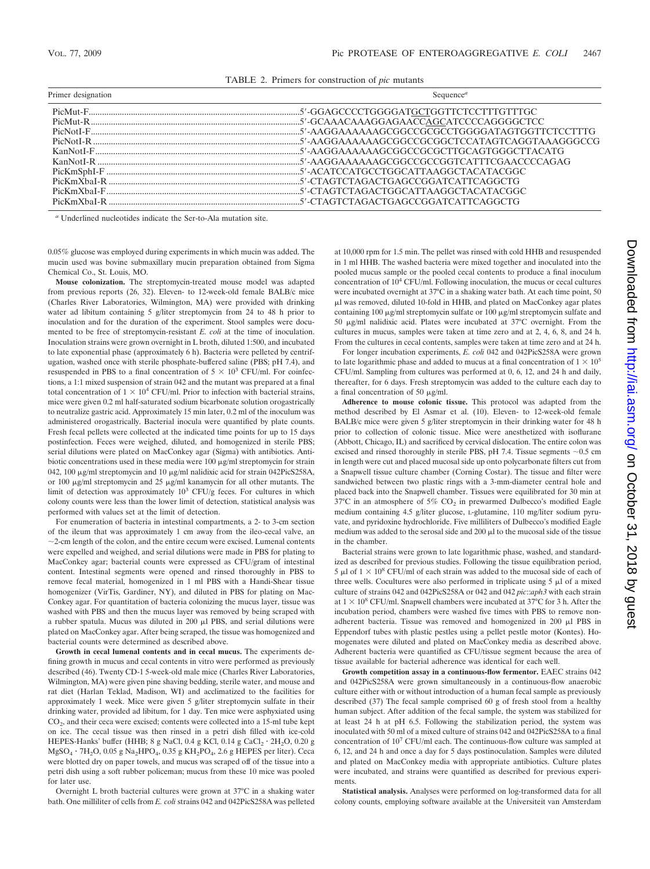TABLE 2. Primers for construction of *pic* mutants

| Primer designation | Sequence <sup>6</sup>                                                                      |
|--------------------|--------------------------------------------------------------------------------------------|
|                    |                                                                                            |
|                    |                                                                                            |
|                    |                                                                                            |
|                    |                                                                                            |
|                    |                                                                                            |
|                    |                                                                                            |
|                    |                                                                                            |
|                    |                                                                                            |
|                    | PicKmXbaI-F <sub>ummummummummummummummummummumm</sub> 5'-CTAGTCTAGACTGGCATTAAGGCTACATACGGC |
|                    |                                                                                            |
|                    |                                                                                            |

*<sup>a</sup>* Underlined nucleotides indicate the Ser-to-Ala mutation site.

0.05% glucose was employed during experiments in which mucin was added. The mucin used was bovine submaxillary mucin preparation obtained from Sigma Chemical Co., St. Louis, MO.

**Mouse colonization.** The streptomycin-treated mouse model was adapted from previous reports (26, 32). Eleven- to 12-week-old female BALB/c mice (Charles River Laboratories, Wilmington, MA) were provided with drinking water ad libitum containing 5 g/liter streptomycin from 24 to 48 h prior to inoculation and for the duration of the experiment. Stool samples were documented to be free of streptomycin-resistant *E. coli* at the time of inoculation. Inoculation strains were grown overnight in L broth, diluted 1:500, and incubated to late exponential phase (approximately 6 h). Bacteria were pelleted by centrifugation, washed once with sterile phosphate-buffered saline (PBS; pH 7.4), and resuspended in PBS to a final concentration of  $5 \times 10^3$  CFU/ml. For coinfections, a 1:1 mixed suspension of strain 042 and the mutant was prepared at a final total concentration of  $1 \times 10^4$  CFU/ml. Prior to infection with bacterial strains, mice were given 0.2 ml half-saturated sodium bicarbonate solution orogastrically to neutralize gastric acid. Approximately 15 min later, 0.2 ml of the inoculum was administered orogastrically. Bacterial inocula were quantified by plate counts. Fresh fecal pellets were collected at the indicated time points for up to 15 days postinfection. Feces were weighed, diluted, and homogenized in sterile PBS; serial dilutions were plated on MacConkey agar (Sigma) with antibiotics. Antibiotic concentrations used in these media were  $100 \mu g/ml$  streptomycin for strain 042, 100  $\mu$ g/ml streptomycin and 10  $\mu$ g/ml nalidixic acid for strain 042PicS258A, or 100  $\mu$ g/ml streptomycin and 25  $\mu$ g/ml kanamycin for all other mutants. The limit of detection was approximately  $10^3$  CFU/g feces. For cultures in which colony counts were less than the lower limit of detection, statistical analysis was performed with values set at the limit of detection.

For enumeration of bacteria in intestinal compartments, a 2- to 3-cm section of the ileum that was approximately 1 cm away from the ileo-cecal valve, an  $\sim$ 2-cm length of the colon, and the entire cecum were excised. Lumenal contents were expelled and weighed, and serial dilutions were made in PBS for plating to MacConkey agar; bacterial counts were expressed as CFU/gram of intestinal content. Intestinal segments were opened and rinsed thoroughly in PBS to remove fecal material, homogenized in 1 ml PBS with a Handi-Shear tissue homogenizer (VirTis, Gardiner, NY), and diluted in PBS for plating on Mac-Conkey agar. For quantitation of bacteria colonizing the mucus layer, tissue was washed with PBS and then the mucus layer was removed by being scraped with a rubber spatula. Mucus was diluted in  $200 \mu$ l PBS, and serial dilutions were plated on MacConkey agar. After being scraped, the tissue was homogenized and bacterial counts were determined as described above.

**Growth in cecal lumenal contents and in cecal mucus.** The experiments defining growth in mucus and cecal contents in vitro were performed as previously described (46). Twenty CD-1 5-week-old male mice (Charles River Laboratories, Wilmington, MA) were given pine shaving bedding, sterile water, and mouse and rat diet (Harlan Teklad, Madison, WI) and acclimatized to the facilities for approximately 1 week. Mice were given 5 g/liter streptomycin sulfate in their drinking water, provided ad libitum, for 1 day. Ten mice were asphyxiated using  $CO<sub>2</sub>$ , and their ceca were excised; contents were collected into a 15-ml tube kept on ice. The cecal tissue was then rinsed in a petri dish filled with ice-cold HEPES-Hanks' buffer (HHB; 8 g NaCl, 0.4 g KCl, 0.14 g CaCl<sub>2</sub>  $\cdot$  2H<sub>2</sub>O, 0.20 g  $MgSO_4 \cdot 7H_2O$ , 0.05 g Na<sub>2</sub>HPO<sub>4</sub>, 0.35 g KH<sub>2</sub>PO<sub>4</sub>, 2.6 g HEPES per liter). Ceca were blotted dry on paper towels, and mucus was scraped off of the tissue into a petri dish using a soft rubber policeman; mucus from these 10 mice was pooled for later use.

Overnight L broth bacterial cultures were grown at 37°C in a shaking water bath. One milliliter of cells from *E. coli* strains 042 and 042PicS258A was pelleted at 10,000 rpm for 1.5 min. The pellet was rinsed with cold HHB and resuspended in 1 ml HHB. The washed bacteria were mixed together and inoculated into the pooled mucus sample or the pooled cecal contents to produce a final inoculum concentration of 10<sup>4</sup> CFU/ml. Following inoculation, the mucus or cecal cultures were incubated overnight at 37°C in a shaking water bath. At each time point, 50 -l was removed, diluted 10-fold in HHB, and plated on MacConkey agar plates containing 100  $\mu$ g/ml streptomycin sulfate or 100  $\mu$ g/ml streptomycin sulfate and 50  $\mu$ g/ml nalidixic acid. Plates were incubated at 37°C overnight. From the cultures in mucus, samples were taken at time zero and at 2, 4, 6, 8, and 24 h. From the cultures in cecal contents, samples were taken at time zero and at 24 h.

For longer incubation experiments, *E. coli* 042 and 042PicS258A were grown to late logarithmic phase and added to mucus at a final concentration of  $1 \times 10^5$ CFU/ml. Sampling from cultures was performed at 0, 6, 12, and 24 h and daily, thereafter, for 6 days. Fresh streptomycin was added to the culture each day to a final concentration of 50  $\mu$ g/ml.

**Adherence to mouse colonic tissue.** This protocol was adapted from the method described by El Asmar et al. (10). Eleven- to 12-week-old female BALB/c mice were given 5 g/liter streptomycin in their drinking water for 48 h prior to collection of colonic tissue. Mice were anesthetized with isoflurane (Abbott, Chicago, IL) and sacrificed by cervical dislocation. The entire colon was excised and rinsed thoroughly in sterile PBS, pH 7.4. Tissue segments  $\sim$ 0.5 cm in length were cut and placed mucosal side up onto polycarbonate filters cut from a Snapwell tissue culture chamber (Corning Costar). The tissue and filter were sandwiched between two plastic rings with a 3-mm-diameter central hole and placed back into the Snapwell chamber. Tissues were equilibrated for 30 min at  $37^{\circ}$ C in an atmosphere of 5% CO<sub>2</sub> in prewarmed Dulbecco's modified Eagle medium containing 4.5 g/liter glucose, L-glutamine, 110 mg/liter sodium pyruvate, and pyridoxine hydrochloride. Five milliliters of Dulbecco's modified Eagle medium was added to the serosal side and  $200 \mu$ l to the mucosal side of the tissue in the chamber.

Bacterial strains were grown to late logarithmic phase, washed, and standardized as described for previous studies. Following the tissue equilibration period, 5  $\mu$ l of  $1 \times 10^8$  CFU/ml of each strain was added to the mucosal side of each of three wells. Cocultures were also performed in triplicate using  $5 \mu l$  of a mixed culture of strains 042 and 042PicS258A or 042 and 042 *pic*::*aph3* with each strain at  $1 \times 10^8$  CFU/ml. Snapwell chambers were incubated at 37°C for 3 h. After the incubation period, chambers were washed five times with PBS to remove nonadherent bacteria. Tissue was removed and homogenized in  $200 \mu$ l PBS in Eppendorf tubes with plastic pestles using a pellet pestle motor (Kontes). Homogenates were diluted and plated on MacConkey media as described above. Adherent bacteria were quantified as CFU/tissue segment because the area of tissue available for bacterial adherence was identical for each well.

**Growth competition assay in a continuous-flow fermentor.** EAEC strains 042 and 042PicS258A were grown simultaneously in a continuous-flow anaerobic culture either with or without introduction of a human fecal sample as previously described (37) The fecal sample comprised 60 g of fresh stool from a healthy human subject. After addition of the fecal sample, the system was stabilized for at least 24 h at pH 6.5. Following the stabilization period, the system was inoculated with 50 ml of a mixed culture of strains 042 and 042PicS258A to a final concentration of 10<sup>7</sup> CFU/ml each. The continuous-flow culture was sampled at 6, 12, and 24 h and once a day for 5 days postinoculation. Samples were diluted and plated on MacConkey media with appropriate antibiotics. Culture plates were incubated, and strains were quantified as described for previous experiments

**Statistical analysis.** Analyses were performed on log-transformed data for all colony counts, employing software available at the Universiteit van Amsterdam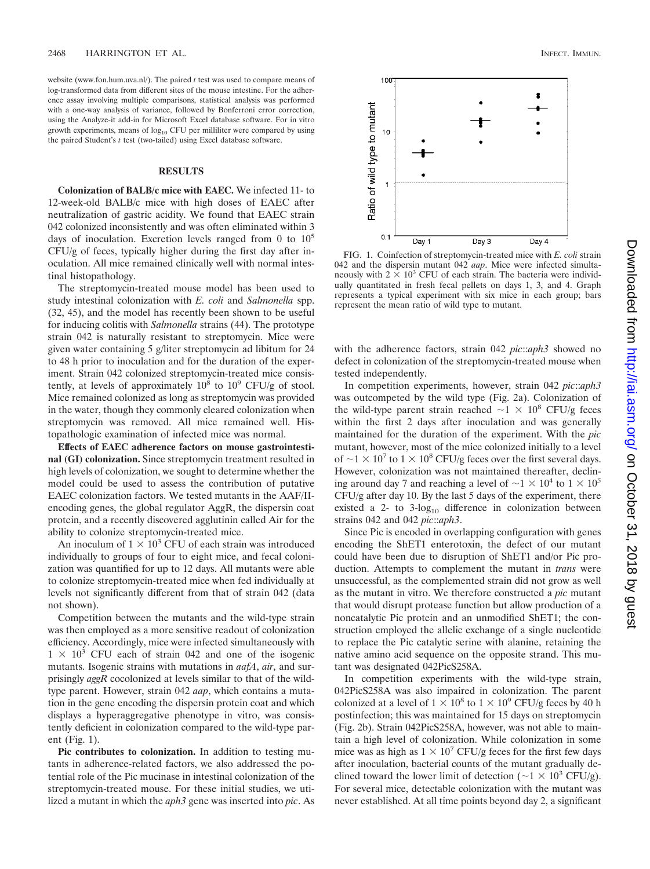website (www.fon.hum.uva.nl/). The paired *t* test was used to compare means of log-transformed data from different sites of the mouse intestine. For the adherence assay involving multiple comparisons, statistical analysis was performed with a one-way analysis of variance, followed by Bonferroni error correction, using the Analyze-it add-in for Microsoft Excel database software. For in vitro growth experiments, means of  $log_{10}$  CFU per milliliter were compared by using the paired Student's *t* test (two-tailed) using Excel database software.

#### **RESULTS**

**Colonization of BALB/c mice with EAEC.** We infected 11- to 12-week-old BALB/c mice with high doses of EAEC after neutralization of gastric acidity. We found that EAEC strain 042 colonized inconsistently and was often eliminated within 3 days of inoculation. Excretion levels ranged from 0 to  $10^5$ CFU/g of feces, typically higher during the first day after inoculation. All mice remained clinically well with normal intestinal histopathology.

The streptomycin-treated mouse model has been used to study intestinal colonization with *E. coli* and *Salmonella* spp. (32, 45), and the model has recently been shown to be useful for inducing colitis with *Salmonella* strains (44). The prototype strain 042 is naturally resistant to streptomycin. Mice were given water containing 5 g/liter streptomycin ad libitum for 24 to 48 h prior to inoculation and for the duration of the experiment. Strain 042 colonized streptomycin-treated mice consistently, at levels of approximately  $10^8$  to  $10^9$  CFU/g of stool. Mice remained colonized as long as streptomycin was provided in the water, though they commonly cleared colonization when streptomycin was removed. All mice remained well. Histopathologic examination of infected mice was normal.

**Effects of EAEC adherence factors on mouse gastrointestinal (GI) colonization.** Since streptomycin treatment resulted in high levels of colonization, we sought to determine whether the model could be used to assess the contribution of putative EAEC colonization factors. We tested mutants in the AAF/IIencoding genes, the global regulator AggR, the dispersin coat protein, and a recently discovered agglutinin called Air for the ability to colonize streptomycin-treated mice.

An inoculum of  $1 \times 10^3$  CFU of each strain was introduced individually to groups of four to eight mice, and fecal colonization was quantified for up to 12 days. All mutants were able to colonize streptomycin-treated mice when fed individually at levels not significantly different from that of strain 042 (data not shown).

Competition between the mutants and the wild-type strain was then employed as a more sensitive readout of colonization efficiency. Accordingly, mice were infected simultaneously with  $1 \times 10^3$  CFU each of strain 042 and one of the isogenic mutants. Isogenic strains with mutations in *aafA*, *air*, and surprisingly *aggR* cocolonized at levels similar to that of the wildtype parent. However, strain 042 *aap*, which contains a mutation in the gene encoding the dispersin protein coat and which displays a hyperaggregative phenotype in vitro, was consistently deficient in colonization compared to the wild-type parent (Fig. 1).

**Pic contributes to colonization.** In addition to testing mutants in adherence-related factors, we also addressed the potential role of the Pic mucinase in intestinal colonization of the streptomycin-treated mouse. For these initial studies, we utilized a mutant in which the *aph3* gene was inserted into *pic*. As



FIG. 1. Coinfection of streptomycin-treated mice with *E. coli* strain 042 and the dispersin mutant 042 *aap*. Mice were infected simultaneously with  $2 \times 10^3$  CFU of each strain. The bacteria were individually quantitated in fresh fecal pellets on days 1, 3, and 4. Graph represents a typical experiment with six mice in each group; bars represent the mean ratio of wild type to mutant.

with the adherence factors, strain 042 *pic*::*aph3* showed no defect in colonization of the streptomycin-treated mouse when tested independently.

In competition experiments, however, strain 042 *pic*::*aph3* was outcompeted by the wild type (Fig. 2a). Colonization of the wild-type parent strain reached  $\sim$ 1  $\times$  10<sup>8</sup> CFU/g feces within the first 2 days after inoculation and was generally maintained for the duration of the experiment. With the *pic* mutant, however, most of the mice colonized initially to a level of  $\sim$ 1  $\times$  10<sup>7</sup> to 1  $\times$  10<sup>8</sup> CFU/g feces over the first several days. However, colonization was not maintained thereafter, declining around day 7 and reaching a level of  $\sim$  1  $\times$  10<sup>4</sup> to 1  $\times$  10<sup>5</sup> CFU/g after day 10. By the last 5 days of the experiment, there existed a 2- to  $3$ -log<sub>10</sub> difference in colonization between strains 042 and 042 *pic*::*aph3*.

Since Pic is encoded in overlapping configuration with genes encoding the ShET1 enterotoxin, the defect of our mutant could have been due to disruption of ShET1 and/or Pic production. Attempts to complement the mutant in *trans* were unsuccessful, as the complemented strain did not grow as well as the mutant in vitro. We therefore constructed a *pic* mutant that would disrupt protease function but allow production of a noncatalytic Pic protein and an unmodified ShET1; the construction employed the allelic exchange of a single nucleotide to replace the Pic catalytic serine with alanine, retaining the native amino acid sequence on the opposite strand. This mutant was designated 042PicS258A.

In competition experiments with the wild-type strain, 042PicS258A was also impaired in colonization. The parent colonized at a level of  $1 \times 10^8$  to  $1 \times 10^9$  CFU/g feces by 40 h postinfection; this was maintained for 15 days on streptomycin (Fig. 2b). Strain 042PicS258A, however, was not able to maintain a high level of colonization. While colonization in some mice was as high as  $1 \times 10^7$  CFU/g feces for the first few days after inoculation, bacterial counts of the mutant gradually declined toward the lower limit of detection ( $\sim$ 1  $\times$  10<sup>3</sup> CFU/g). For several mice, detectable colonization with the mutant was never established. At all time points beyond day 2, a significant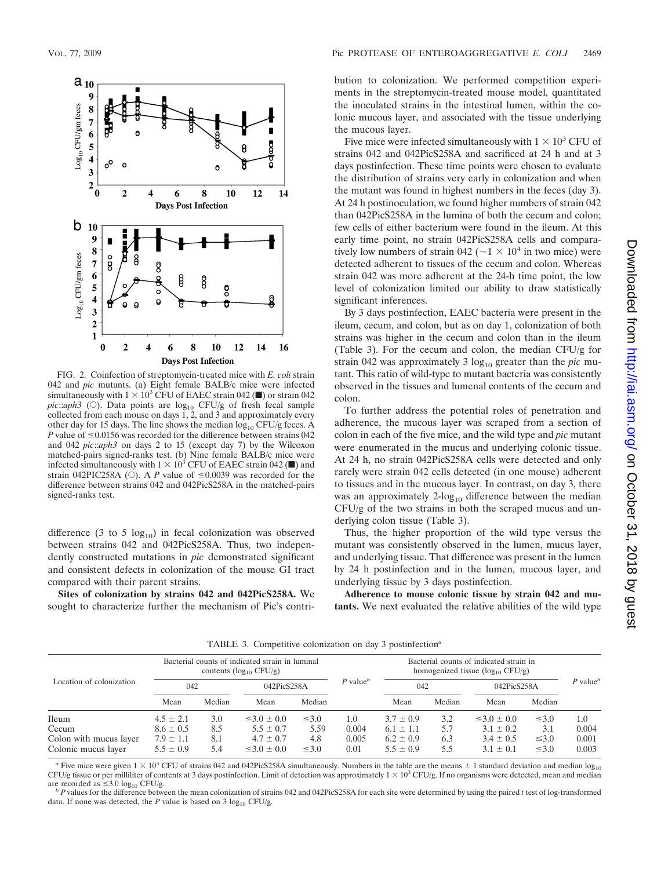

FIG. 2. Coinfection of streptomycin-treated mice with *E. coli* strain 042 and *pic* mutants. (a) Eight female BALB/c mice were infected simultaneously with  $1 \times 10^3$  CFU of EAEC strain 042 ( $\blacksquare$ ) or strain 042 *pic*::*aph3* (○). Data points are log<sub>10</sub> CFU/g of fresh fecal sample collected from each mouse on days 1, 2, and 3 and approximately every other day for 15 days. The line shows the median  $log_{10} CFU/g$  feces. A *P* value of  $\leq 0.0156$  was recorded for the difference between strains 042 and 042 *pic*::*aph3* on days 2 to 15 (except day 7) by the Wilcoxon matched-pairs signed-ranks test. (b) Nine female BALB/c mice were infected simultaneously with  $1 \times 10^3$  CFU of EAEC strain 042 ( $\blacksquare$ ) and strain 042PIC258A ( $\circ$ ). A *P* value of  $\leq 0.0039$  was recorded for the difference between strains 042 and 042PicS258A in the matched-pairs signed-ranks test.

difference (3 to 5  $log_{10}$ ) in fecal colonization was observed between strains 042 and 042PicS258A. Thus, two independently constructed mutations in *pic* demonstrated significant and consistent defects in colonization of the mouse GI tract compared with their parent strains.

**Sites of colonization by strains 042 and 042PicS258A.** We sought to characterize further the mechanism of Pic's contribution to colonization. We performed competition experiments in the streptomycin-treated mouse model, quantitated the inoculated strains in the intestinal lumen, within the colonic mucous layer, and associated with the tissue underlying the mucous layer.

Five mice were infected simultaneously with  $1 \times 10^3$  CFU of strains 042 and 042PicS258A and sacrificed at 24 h and at 3 days postinfection. These time points were chosen to evaluate the distribution of strains very early in colonization and when the mutant was found in highest numbers in the feces (day 3). At 24 h postinoculation, we found higher numbers of strain 042 than 042PicS258A in the lumina of both the cecum and colon; few cells of either bacterium were found in the ileum. At this early time point, no strain 042PicS258A cells and comparatively low numbers of strain 042 ( $\sim$ 1  $\times$  10<sup>4</sup> in two mice) were detected adherent to tissues of the cecum and colon. Whereas strain 042 was more adherent at the 24-h time point, the low level of colonization limited our ability to draw statistically significant inferences.

By 3 days postinfection, EAEC bacteria were present in the ileum, cecum, and colon, but as on day 1, colonization of both strains was higher in the cecum and colon than in the ileum (Table 3). For the cecum and colon, the median CFU/g for strain 042 was approximately 3 log<sub>10</sub> greater than the *pic* mutant. This ratio of wild-type to mutant bacteria was consistently observed in the tissues and lumenal contents of the cecum and colon.

To further address the potential roles of penetration and adherence, the mucous layer was scraped from a section of colon in each of the five mice, and the wild type and *pic* mutant were enumerated in the mucus and underlying colonic tissue. At 24 h, no strain 042PicS258A cells were detected and only rarely were strain 042 cells detected (in one mouse) adherent to tissues and in the mucous layer. In contrast, on day 3, there was an approximately  $2\text{-log}_{10}$  difference between the median CFU/g of the two strains in both the scraped mucus and underlying colon tissue (Table 3).

Thus, the higher proportion of the wild type versus the mutant was consistently observed in the lumen, mucus layer, and underlying tissue. That difference was present in the lumen by 24 h postinfection and in the lumen, mucous layer, and underlying tissue by 3 days postinfection.

**Adherence to mouse colonic tissue by strain 042 and mutants.** We next evaluated the relative abilities of the wild type

Location of colonization Bacterial counts of indicated strain in luminal contents  $(log_{10} CFU/g)$ *P* value*<sup>b</sup>* Bacterial counts of indicated strain in homogenized tissue ( $log_{10}$  CFU/g) 042 042PicS258A  $P$  value 042 042PicS258A 042PicS258A

TABLE 3. Competitive colonization on day 3 postinfection*<sup>a</sup>*

|                        | Mean          | Median | Mean               | Median     |          | Mean          | Median | Mean               | Median     |         |
|------------------------|---------------|--------|--------------------|------------|----------|---------------|--------|--------------------|------------|---------|
| <b>Ileum</b>           | $4.5 \pm 2.1$ | 3.0    | $\leq 3.0 \pm 0.0$ | $\leq 3.0$ | 1.O      | $3.7 \pm 0.9$ | 3.2    | $\leq 3.0 \pm 0.0$ | $\leq 3.0$ | $1.0\,$ |
| Cecum                  | $8.6 \pm 0.5$ | 8.5    | $5.5 \pm 0.7$      | 5.59       | 0.004    | $6.1 \pm 1.1$ | 5.7    | $3.1 \pm 0.2$      | 3.1        | 0.004   |
| Colon with mucus layer | $7.9 \pm 1.1$ | 8.1    | $4.7 \pm 0.7$      | 4.8        | 0.005    | $6.2 \pm 0.9$ | 6.3    | $3.4 \pm 0.5$      | $\leq 3.0$ | 0.001   |
| Colonic mucus layer    | $5.5 \pm 0.9$ | 5.4    | $\leq 3.0 \pm 0.0$ | $\leq 3.0$ | $0.01\,$ | $5.5 \pm 0.9$ | 5.5    | $3.1 \pm 0.1$      | $\leq 3.0$ | 0.003   |

*a* Five mice were given  $1 \times 10^3$  CFU of strains 042 and 042PicS258A simultaneously. Numbers in the table are the means  $\pm$  1 standard deviation and median log<sub>10</sub> CFU/g tissue or per milliliter of contents at 3 days postinfection. Limit of detection was approximately  $1 \times 10^3$  CFU/g. If no organisms were detected, mean and median are recorded as  $\leq 3.0 \log_{10}$  CFU/g.

are recorded as 3.0 log10 CFU/g. *<sup>b</sup> <sup>P</sup>* values for the difference between the mean colonization of strains 042 and 042PicS258A for each site were determined by using the paired *<sup>t</sup>* test of log-transformed data. If none was detected, the  $P$  value is based on 3  $log_{10}$  CFU/g.

 $P$  value<sup>*b*</sup>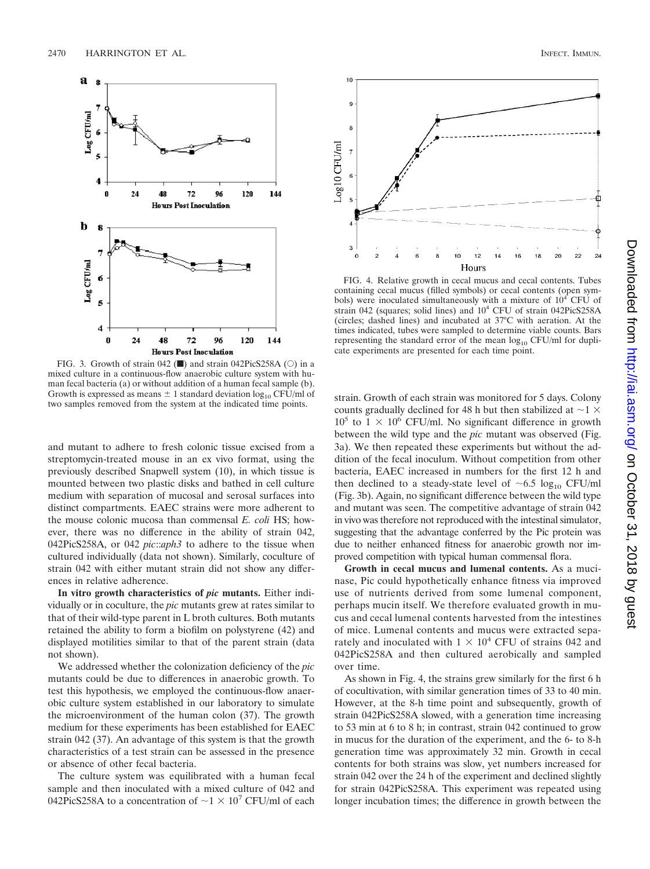

FIG. 3. Growth of strain 042  $(\blacksquare)$  and strain 042PicS258A ( $\odot$ ) in a mixed culture in a continuous-flow anaerobic culture system with human fecal bacteria (a) or without addition of a human fecal sample (b). Growth is expressed as means  $\pm$  1 standard deviation  $log_{10}$  CFU/ml of two samples removed from the system at the indicated time points.

and mutant to adhere to fresh colonic tissue excised from a streptomycin-treated mouse in an ex vivo format, using the previously described Snapwell system (10), in which tissue is mounted between two plastic disks and bathed in cell culture medium with separation of mucosal and serosal surfaces into distinct compartments. EAEC strains were more adherent to the mouse colonic mucosa than commensal *E. coli* HS; however, there was no difference in the ability of strain 042, 042PicS258A, or 042 *pic*::*aph3* to adhere to the tissue when cultured individually (data not shown). Similarly, coculture of strain 042 with either mutant strain did not show any differences in relative adherence.

**In vitro growth characteristics of** *pic* **mutants.** Either individually or in coculture, the *pic* mutants grew at rates similar to that of their wild-type parent in L broth cultures. Both mutants retained the ability to form a biofilm on polystyrene (42) and displayed motilities similar to that of the parent strain (data not shown).

We addressed whether the colonization deficiency of the *pic* mutants could be due to differences in anaerobic growth. To test this hypothesis, we employed the continuous-flow anaerobic culture system established in our laboratory to simulate the microenvironment of the human colon (37). The growth medium for these experiments has been established for EAEC strain 042 (37). An advantage of this system is that the growth characteristics of a test strain can be assessed in the presence or absence of other fecal bacteria.

The culture system was equilibrated with a human fecal sample and then inoculated with a mixed culture of 042 and 042PicS258A to a concentration of  $\sim$ 1  $\times$  10<sup>7</sup> CFU/ml of each



FIG. 4. Relative growth in cecal mucus and cecal contents. Tubes containing cecal mucus (filled symbols) or cecal contents (open symbols) were inoculated simultaneously with a mixture of 10<sup>4</sup> CFU of strain 042 (squares; solid lines) and 104 CFU of strain 042PicS258A (circles; dashed lines) and incubated at 37°C with aeration. At the times indicated, tubes were sampled to determine viable counts. Bars representing the standard error of the mean  $log_{10}$  CFU/ml for duplicate experiments are presented for each time point.

strain. Growth of each strain was monitored for 5 days. Colony counts gradually declined for 48 h but then stabilized at  $\sim$ 1  $\times$  $10^5$  to  $1 \times 10^6$  CFU/ml. No significant difference in growth between the wild type and the *pic* mutant was observed (Fig. 3a). We then repeated these experiments but without the addition of the fecal inoculum. Without competition from other bacteria, EAEC increased in numbers for the first 12 h and then declined to a steady-state level of  $\sim 6.5 \log_{10} CFU/ml$ (Fig. 3b). Again, no significant difference between the wild type and mutant was seen. The competitive advantage of strain 042 in vivo was therefore not reproduced with the intestinal simulator, suggesting that the advantage conferred by the Pic protein was due to neither enhanced fitness for anaerobic growth nor improved competition with typical human commensal flora.

**Growth in cecal mucus and lumenal contents.** As a mucinase, Pic could hypothetically enhance fitness via improved use of nutrients derived from some lumenal component, perhaps mucin itself. We therefore evaluated growth in mucus and cecal lumenal contents harvested from the intestines of mice. Lumenal contents and mucus were extracted separately and inoculated with  $1 \times 10^4$  CFU of strains 042 and 042PicS258A and then cultured aerobically and sampled over time.

As shown in Fig. 4, the strains grew similarly for the first 6 h of cocultivation, with similar generation times of 33 to 40 min. However, at the 8-h time point and subsequently, growth of strain 042PicS258A slowed, with a generation time increasing to 53 min at 6 to 8 h; in contrast, strain 042 continued to grow in mucus for the duration of the experiment, and the 6- to 8-h generation time was approximately 32 min. Growth in cecal contents for both strains was slow, yet numbers increased for strain 042 over the 24 h of the experiment and declined slightly for strain 042PicS258A. This experiment was repeated using longer incubation times; the difference in growth between the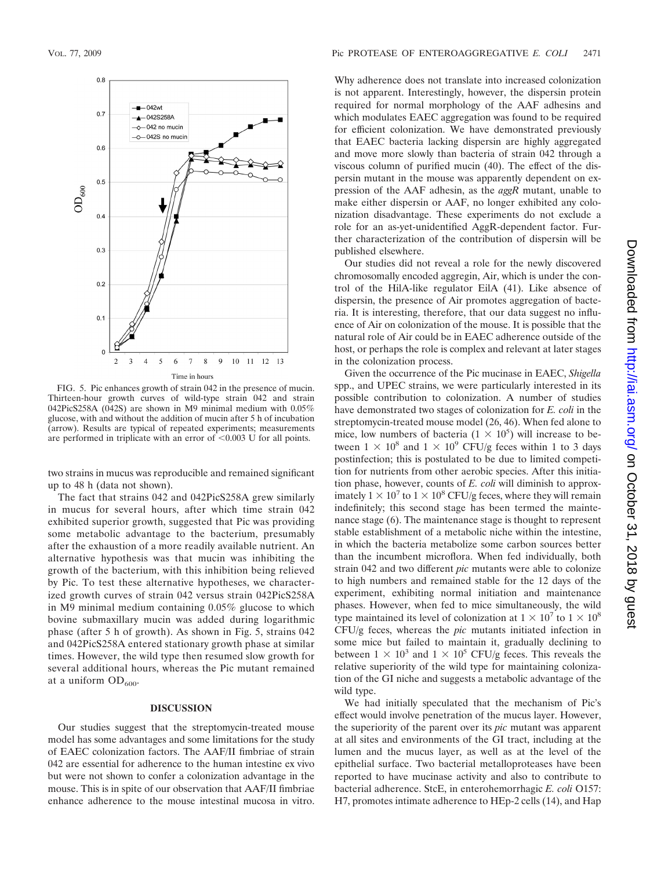

FIG. 5. Pic enhances growth of strain 042 in the presence of mucin. Thirteen-hour growth curves of wild-type strain 042 and strain 042PicS258A (042S) are shown in M9 minimal medium with 0.05% glucose, with and without the addition of mucin after 5 h of incubation (arrow). Results are typical of repeated experiments; measurements are performed in triplicate with an error of  $\leq 0.003$  U for all points.

two strains in mucus was reproducible and remained significant up to 48 h (data not shown).

The fact that strains 042 and 042PicS258A grew similarly in mucus for several hours, after which time strain 042 exhibited superior growth, suggested that Pic was providing some metabolic advantage to the bacterium, presumably after the exhaustion of a more readily available nutrient. An alternative hypothesis was that mucin was inhibiting the growth of the bacterium, with this inhibition being relieved by Pic. To test these alternative hypotheses, we characterized growth curves of strain 042 versus strain 042PicS258A in M9 minimal medium containing 0.05% glucose to which bovine submaxillary mucin was added during logarithmic phase (after 5 h of growth). As shown in Fig. 5, strains 042 and 042PicS258A entered stationary growth phase at similar times. However, the wild type then resumed slow growth for several additional hours, whereas the Pic mutant remained at a uniform  $OD_{600}$ .

#### **DISCUSSION**

Our studies suggest that the streptomycin-treated mouse model has some advantages and some limitations for the study of EAEC colonization factors. The AAF/II fimbriae of strain 042 are essential for adherence to the human intestine ex vivo but were not shown to confer a colonization advantage in the mouse. This is in spite of our observation that AAF/II fimbriae enhance adherence to the mouse intestinal mucosa in vitro.

Why adherence does not translate into increased colonization is not apparent. Interestingly, however, the dispersin protein required for normal morphology of the AAF adhesins and which modulates EAEC aggregation was found to be required for efficient colonization. We have demonstrated previously that EAEC bacteria lacking dispersin are highly aggregated and move more slowly than bacteria of strain 042 through a viscous column of purified mucin (40). The effect of the dispersin mutant in the mouse was apparently dependent on expression of the AAF adhesin, as the *aggR* mutant, unable to make either dispersin or AAF, no longer exhibited any colonization disadvantage. These experiments do not exclude a role for an as-yet-unidentified AggR-dependent factor. Further characterization of the contribution of dispersin will be published elsewhere.

Our studies did not reveal a role for the newly discovered chromosomally encoded aggregin, Air, which is under the control of the HilA-like regulator EilA (41). Like absence of dispersin, the presence of Air promotes aggregation of bacteria. It is interesting, therefore, that our data suggest no influence of Air on colonization of the mouse. It is possible that the natural role of Air could be in EAEC adherence outside of the host, or perhaps the role is complex and relevant at later stages in the colonization process.

Given the occurrence of the Pic mucinase in EAEC, *Shigella* spp., and UPEC strains, we were particularly interested in its possible contribution to colonization. A number of studies have demonstrated two stages of colonization for *E. coli* in the streptomycin-treated mouse model (26, 46). When fed alone to mice, low numbers of bacteria  $(1 \times 10^5)$  will increase to between  $1 \times 10^8$  and  $1 \times 10^9$  CFU/g feces within 1 to 3 days postinfection; this is postulated to be due to limited competition for nutrients from other aerobic species. After this initiation phase, however, counts of *E. coli* will diminish to approximately  $1 \times 10^7$  to  $1 \times 10^8$  CFU/g feces, where they will remain indefinitely; this second stage has been termed the maintenance stage (6). The maintenance stage is thought to represent stable establishment of a metabolic niche within the intestine, in which the bacteria metabolize some carbon sources better than the incumbent microflora. When fed individually, both strain 042 and two different *pic* mutants were able to colonize to high numbers and remained stable for the 12 days of the experiment, exhibiting normal initiation and maintenance phases. However, when fed to mice simultaneously, the wild type maintained its level of colonization at  $1 \times 10^7$  to  $1 \times 10^8$ CFU/g feces, whereas the *pic* mutants initiated infection in some mice but failed to maintain it, gradually declining to between  $1 \times 10^3$  and  $1 \times 10^5$  CFU/g feces. This reveals the relative superiority of the wild type for maintaining colonization of the GI niche and suggests a metabolic advantage of the wild type.

We had initially speculated that the mechanism of Pic's effect would involve penetration of the mucus layer. However, the superiority of the parent over its *pic* mutant was apparent at all sites and environments of the GI tract, including at the lumen and the mucus layer, as well as at the level of the epithelial surface. Two bacterial metalloproteases have been reported to have mucinase activity and also to contribute to bacterial adherence. StcE, in enterohemorrhagic *E. coli* O157: H7, promotes intimate adherence to HEp-2 cells (14), and Hap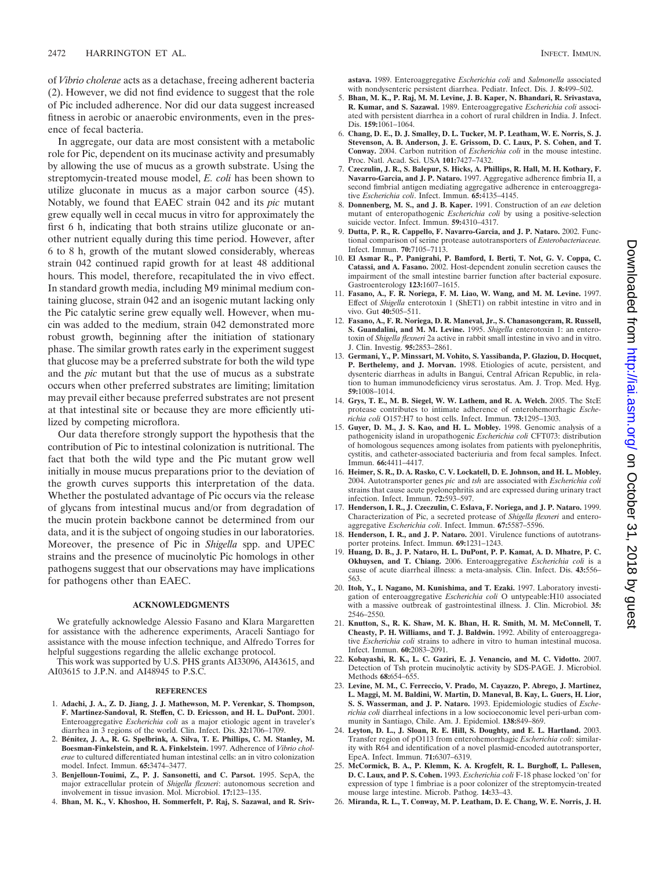of *Vibrio cholerae* acts as a detachase, freeing adherent bacteria (2). However, we did not find evidence to suggest that the role of Pic included adherence. Nor did our data suggest increased fitness in aerobic or anaerobic environments, even in the presence of fecal bacteria.

In aggregate, our data are most consistent with a metabolic role for Pic, dependent on its mucinase activity and presumably by allowing the use of mucus as a growth substrate. Using the streptomycin-treated mouse model, *E. coli* has been shown to utilize gluconate in mucus as a major carbon source (45). Notably, we found that EAEC strain 042 and its *pic* mutant grew equally well in cecal mucus in vitro for approximately the first 6 h, indicating that both strains utilize gluconate or another nutrient equally during this time period. However, after 6 to 8 h, growth of the mutant slowed considerably, whereas strain 042 continued rapid growth for at least 48 additional hours. This model, therefore, recapitulated the in vivo effect. In standard growth media, including M9 minimal medium containing glucose, strain 042 and an isogenic mutant lacking only the Pic catalytic serine grew equally well. However, when mucin was added to the medium, strain 042 demonstrated more robust growth, beginning after the initiation of stationary phase. The similar growth rates early in the experiment suggest that glucose may be a preferred substrate for both the wild type and the *pic* mutant but that the use of mucus as a substrate occurs when other preferred substrates are limiting; limitation may prevail either because preferred substrates are not present at that intestinal site or because they are more efficiently utilized by competing microflora.

Our data therefore strongly support the hypothesis that the contribution of Pic to intestinal colonization is nutritional. The fact that both the wild type and the Pic mutant grow well initially in mouse mucus preparations prior to the deviation of the growth curves supports this interpretation of the data. Whether the postulated advantage of Pic occurs via the release of glycans from intestinal mucus and/or from degradation of the mucin protein backbone cannot be determined from our data, and it is the subject of ongoing studies in our laboratories. Moreover, the presence of Pic in *Shigella* spp. and UPEC strains and the presence of mucinolytic Pic homologs in other pathogens suggest that our observations may have implications for pathogens other than EAEC.

#### **ACKNOWLEDGMENTS**

We gratefully acknowledge Alessio Fasano and Klara Margaretten for assistance with the adherence experiments, Araceli Santiago for assistance with the mouse infection technique, and Alfredo Torres for helpful suggestions regarding the allelic exchange protocol.

This work was supported by U.S. PHS grants AI33096, AI43615, and AI03615 to J.P.N. and AI48945 to P.S.C.

#### **REFERENCES**

- 1. **Adachi, J. A., Z. D. Jiang, J. J. Mathewson, M. P. Verenkar, S. Thompson, F. Martinez-Sandoval, R. Steffen, C. D. Ericsson, and H. L. DuPont.** 2001. Enteroaggregative *Escherichia coli* as a major etiologic agent in traveler's diarrhea in 3 regions of the world. Clin. Infect. Dis. **32:**1706–1709.
- 2. **Be´nitez, J. A., R. G. Spelbrink, A. Silva, T. E. Phillips, C. M. Stanley, M. Boesman-Finkelstein, and R. A. Finkelstein.** 1997. Adherence of *Vibrio cholerae* to cultured differentiated human intestinal cells: an in vitro colonization model. Infect. Immun. **65:**3474–3477.
- 3. **Benjelloun-Touimi, Z., P. J. Sansonetti, and C. Parsot.** 1995. SepA, the major extracellular protein of *Shigella flexneri*: autonomous secretion and involvement in tissue invasion. Mol. Microbiol. **17:**123–135.
- 4. **Bhan, M. K., V. Khoshoo, H. Sommerfelt, P. Raj, S. Sazawal, and R. Sriv-**

**astava.** 1989. Enteroaggregative *Escherichia coli* and *Salmonella* associated with nondysenteric persistent diarrhea. Pediatr. Infect. Dis. J. **8:**499–502.

- 5. **Bhan, M. K., P. Raj, M. M. Levine, J. B. Kaper, N. Bhandari, R. Srivastava, R. Kumar, and S. Sazawal.** 1989. Enteroaggregative *Escherichia coli* associated with persistent diarrhea in a cohort of rural children in India. J. Infect. Dis. **159:**1061–1064.
- 6. **Chang, D. E., D. J. Smalley, D. L. Tucker, M. P. Leatham, W. E. Norris, S. J. Stevenson, A. B. Anderson, J. E. Grissom, D. C. Laux, P. S. Cohen, and T. Conway.** 2004. Carbon nutrition of *Escherichia coli* in the mouse intestine. Proc. Natl. Acad. Sci. USA **101:**7427–7432.
- 7. **Czeczulin, J. R., S. Balepur, S. Hicks, A. Phillips, R. Hall, M. H. Kothary, F. Navarro-Garcia, and J. P. Nataro.** 1997. Aggregative adherence fimbria II, a second fimbrial antigen mediating aggregative adherence in enteroaggregative *Escherichia coli*. Infect. Immun. **65:**4135–4145.
- 8. **Donnenberg, M. S., and J. B. Kaper.** 1991. Construction of an *eae* deletion mutant of enteropathogenic *Escherichia coli* by using a positive-selection suicide vector. Infect. Immun. **59:**4310–4317.
- 9. **Dutta, P. R., R. Cappello, F. Navarro-Garcia, and J. P. Nataro.** 2002. Functional comparison of serine protease autotransporters of *Enterobacteriaceae.* Infect. Immun. **70:**7105–7113.
- 10. **El Asmar R., P. Panigrahi, P. Bamford, I. Berti, T. Not, G. V. Coppa, C. Catassi, and A. Fasano.** 2002. Host-dependent zonulin secretion causes the impairment of the small intestine barrier function after bacterial exposure. Gastroenterology **123:**1607–1615.
- 11. **Fasano, A., F. R. Noriega, F. M. Liao, W. Wang, and M. M. Levine.** 1997. Effect of *Shigella* enterotoxin 1 (ShET1) on rabbit intestine in vitro and in vivo. Gut **40:**505–511.
- 12. **Fasano, A., F. R. Noriega, D. R. Maneval, Jr., S. Chanasongcram, R. Russell, S. Guandalini, and M. M. Levine.** 1995. *Shigella* enterotoxin 1: an enterotoxin of *Shigella flexneri* 2a active in rabbit small intestine in vivo and in vitro. J. Clin. Investig. **95:**2853–2861.
- 13. **Germani, Y., P. Minssart, M. Vohito, S. Yassibanda, P. Glaziou, D. Hocquet, P. Berthelemy, and J. Morvan.** 1998. Etiologies of acute, persistent, and dysenteric diarrheas in adults in Bangui, Central African Republic, in relation to human immunodeficiency virus serostatus. Am. J. Trop. Med. Hyg. **59:**1008–1014.
- 14. **Grys, T. E., M. B. Siegel, W. W. Lathem, and R. A. Welch.** 2005. The StcE protease contributes to intimate adherence of enterohemorrhagic *Escherichia coli* O157:H7 to host cells. Infect. Immun. **73:**1295–1303.
- 15. **Guyer, D. M., J. S. Kao, and H. L. Mobley.** 1998. Genomic analysis of a pathogenicity island in uropathogenic *Escherichia coli* CFT073: distribution of homologous sequences among isolates from patients with pyelonephritis, cystitis, and catheter-associated bacteriuria and from fecal samples. Infect. Immun. **66:**4411–4417.
- 16. **Heimer, S. R., D. A. Rasko, C. V. Lockatell, D. E. Johnson, and H. L. Mobley.** 2004. Autotransporter genes *pic* and *tsh* are associated with *Escherichia coli* strains that cause acute pyelonephritis and are expressed during urinary tract infection. Infect. Immun. **72:**593–597.
- 17. **Henderson, I. R., J. Czeczulin, C. Eslava, F. Noriega, and J. P. Nataro.** 1999. Characterization of Pic, a secreted protease of *Shigella flexneri* and entero-aggregative *Escherichia coli*. Infect. Immun. **67:**5587–5596.
- 18. **Henderson, I. R., and J. P. Nataro.** 2001. Virulence functions of autotransporter proteins. Infect. Immun. **69:**1231–1243.
- 19. **Huang, D. B., J. P. Nataro, H. L. DuPont, P. P. Kamat, A. D. Mhatre, P. C. Okhuysen, and T. Chiang.** 2006. Enteroaggregative *Escherichia coli* is a cause of acute diarrheal illness: a meta-analysis. Clin. Infect. Dis. **43:**556– 563.
- 20. **Itoh, Y., I. Nagano, M. Kunishima, and T. Ezaki.** 1997. Laboratory investigation of enteroaggregative *Escherichia coli* O untypeable:H10 associated with a massive outbreak of gastrointestinal illness. J. Clin. Microbiol. 35: 2546–2550.
- 21. **Knutton, S., R. K. Shaw, M. K. Bhan, H. R. Smith, M. M. McConnell, T. Cheasty, P. H. Williams, and T. J. Baldwin.** 1992. Ability of enteroaggregative *Escherichia coli* strains to adhere in vitro to human intestinal mucosa. Infect. Immun. **60:**2083–2091.
- 22. **Kobayashi, R. K., L. C. Gaziri, E. J. Venancio, and M. C. Vidotto.** 2007. Detection of Tsh protein mucinolytic activity by SDS-PAGE. J. Microbiol. Methods **68:**654–655.
- 23. **Levine, M. M., C. Ferreccio, V. Prado, M. Cayazzo, P. Abrego, J. Martinez, L. Maggi, M. M. Baldini, W. Martin, D. Maneval, B. Kay, L. Guers, H. Lior, S. S. Wasserman, and J. P. Nataro.** 1993. Epidemiologic studies of *Escherichia coli* diarrheal infections in a low socioeconomic level peri-urban community in Santiago, Chile. Am. J. Epidemiol. **138:**849–869.
- 24. **Leyton, D. L., J. Sloan, R. E. Hill, S. Doughty, and E. L. Hartland.** 2003. Transfer region of pO113 from enterohemorrhagic *Escherichia coli*: similarity with R64 and identification of a novel plasmid-encoded autotransporter, EpeA. Infect. Immun. **71:**6307–6319.
- 25. **McCormick, B. A., P. Klemm, K. A. Krogfelt, R. L. Burghoff, L. Pallesen, D. C. Laux, and P. S. Cohen.** 1993. *Escherichia coli* F-18 phase locked 'on' for expression of type 1 fimbriae is a poor colonizer of the streptomycin-treated mouse large intestine. Microb. Pathog. **14:**33–43.
- 26. **Miranda, R. L., T. Conway, M. P. Leatham, D. E. Chang, W. E. Norris, J. H.**